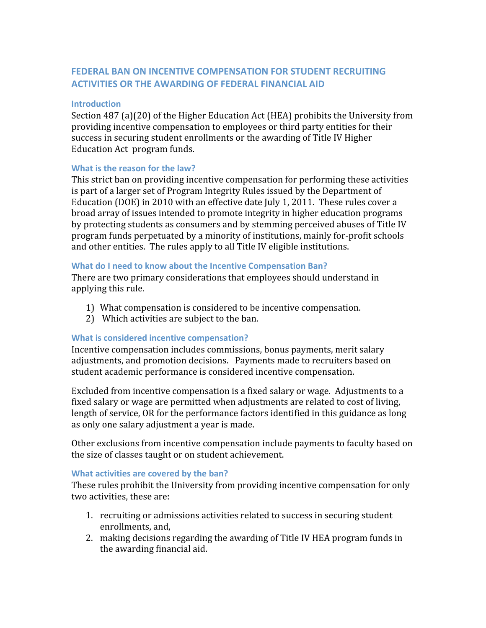# **FEDERAL BAN ON INCENTIVE COMPENSATION FOR STUDENT RECRUITING ACTIVITIES OR THE AWARDING OF FEDERAL FINANCIAL AID**

#### **Introduction**

Section 487 (a)(20) of the Higher Education Act (HEA) prohibits the University from providing incentive compensation to employees or third party entities for their success in securing student enrollments or the awarding of Title IV Higher Education Act program funds.

## What is the reason for the law?

This strict ban on providing incentive compensation for performing these activities is part of a larger set of Program Integrity Rules issued by the Department of Education (DOE) in 2010 with an effective date July 1, 2011. These rules cover a broad array of issues intended to promote integrity in higher education programs by protecting students as consumers and by stemming perceived abuses of Title IV program funds perpetuated by a minority of institutions, mainly for‐profit schools and other entities. The rules apply to all Title IV eligible institutions.

## What do I need to know about the Incentive Compensation Ban?

There are two primary considerations that employees should understand in applying this rule.

- 1) What compensation is considered to be incentive compensation.
- 2) Which activities are subject to the ban.

## **What
is
considered
incentive
compensation?**

Incentive compensation includes commissions, bonus payments, merit salary adjustments, and promotion decisions. Payments made to recruiters based on student academic performance is considered incentive compensation.

Excluded from incentive compensation is a fixed salary or wage. Adjustments to a fixed salary or wage are permitted when adjustments are related to cost of living, length of service, OR for the performance factors identified in this guidance as long as only one salary adjustment a year is made.

Other exclusions from incentive compensation include payments to faculty based on the size of classes taught or on student achievement.

#### **What
activities
are
covered
by
the
ban?**

These rules prohibit the University from providing incentive compensation for only two activities, these are:

- 1. recruiting or admissions activities related to success in securing student enrollments, and,
- 2. making decisions regarding the awarding of Title IV HEA program funds in the awarding financial aid.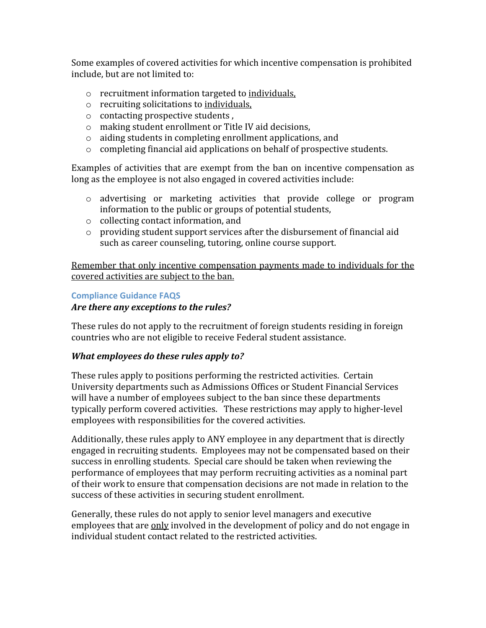Some examples of covered activities for which incentive compensation is prohibited include, but are not limited to:

- o recruitment information targeted to individuals,
- o recruiting solicitations to individuals,
- o contacting prospective students ,
- o making student enrollment or Title IV aid decisions,
- o aiding students in completing enrollment applications, and
- o completing financial aid applications on behalf of prospective students.

Examples of activities that are exempt from the ban on incentive compensation as long as the employee is not also engaged in covered activities include:

- $\circ$  advertising or marketing activities that provide college or program information to the public or groups of potential students,
- o collecting contact information, and
- o providing student support services after the disbursement of financial aid such as career counseling, tutoring, online course support.

Remember that only incentive compensation payments made to individuals for the covered activities are subject to the ban.

## **Compliance
Guidance
FAQS**

## *Are there any exceptions to the rules?*

These rules do not apply to the recruitment of foreign students residing in foreign countries who are not eligible to receive Federal student assistance.

# *What employees do these rules apply to?*

These rules apply to positions performing the restricted activities. Certain University departments such as Admissions Offices or Student Financial Services will have a number of employees subject to the ban since these departments typically perform covered activities. These restrictions may apply to higher‐level employees with responsibilities for the covered activities.

Additionally, these rules apply to ANY employee in any department that is directly engaged in recruiting students. Employees may not be compensated based on their success in enrolling students. Special care should be taken when reviewing the performance of employees that may perform recruiting activities as a nominal part of their work to ensure that compensation decisions are not made in relation to the success of these activities in securing student enrollment.

Generally, these rules do not apply to senior level managers and executive employees that are only involved in the development of policy and do not engage in individual student contact related to the restricted activities.